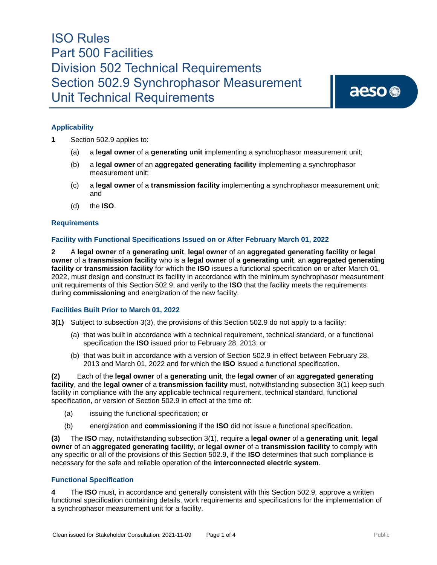aeso<sup>®</sup>

## **Applicability**

- **1** Section 502.9 applies to:
	- (a) a **legal owner** of a **generating unit** implementing a synchrophasor measurement unit;
	- (b) a **legal owner** of an **aggregated generating facility** implementing a synchrophasor measurement unit;
	- (c) a **legal owner** of a **transmission facility** implementing a synchrophasor measurement unit; and
	- (d) the **ISO**.

#### **Requirements**

#### **Facility with Functional Specifications Issued on or After February March 01, 2022**

**2** A **legal owner** of a **generating unit**, **legal owner** of an **aggregated generating facility** or **legal owner** of a **transmission facility** who is a **legal owner** of a **generating unit**, an **aggregated generating facility** or **transmission facility** for which the **ISO** issues a functional specification on or after March 01, 2022, must design and construct its facility in accordance with the minimum synchrophasor measurement unit requirements of this Section 502.9, and verify to the **ISO** that the facility meets the requirements during **commissioning** and energization of the new facility.

#### **Facilities Built Prior to March 01, 2022**

**3(1)** Subject to subsection 3(3), the provisions of this Section 502.9 do not apply to a facility:

- (a) that was built in accordance with a technical requirement, technical standard, or a functional specification the **ISO** issued prior to February 28, 2013; or
- (b) that was built in accordance with a version of Section 502.9 in effect between February 28, 2013 and March 01, 2022 and for which the **ISO** issued a functional specification.

**(2)** Each of the **legal owner** of a **generating unit**, the **legal owner** of an **aggregated generating facility**, and the **legal owner** of a **transmission facility** must, notwithstanding subsection 3(1) keep such facility in compliance with the any applicable technical requirement, technical standard, functional specification, or version of Section 502.9 in effect at the time of:

- (a) issuing the functional specification; or
- (b) energization and **commissioning** if the **ISO** did not issue a functional specification.

**(3)** The **ISO** may, notwithstanding subsection 3(1), require a **legal owner** of a **generating unit**, **legal owner** of an **aggregated generating facility**, or **legal owner** of a **transmission facility** to comply with any specific or all of the provisions of this Section 502.9, if the **ISO** determines that such compliance is necessary for the safe and reliable operation of the **interconnected electric system**.

### **Functional Specification**

**4** The **ISO** must, in accordance and generally consistent with this Section 502.9*,* approve a written functional specification containing details, work requirements and specifications for the implementation of a synchrophasor measurement unit for a facility.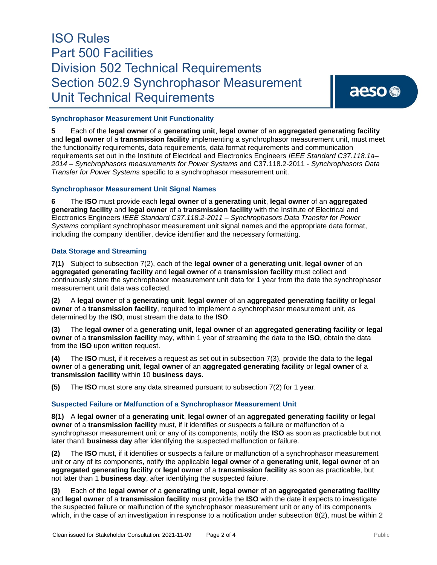### **Synchrophasor Measurement Unit Functionality**

**5** Each of the **legal owner** of a **generating unit**, **legal owner** of an **aggregated generating facility** and **legal owner** of a **transmission facility** implementing a synchrophasor measurement unit, must meet the functionality requirements, data requirements, data format requirements and communication requirements set out in the Institute of Electrical and Electronics Engineers *IEEE Standard C37.118.1a– 2014 – Synchrophasors measurements for Power Systems* and C37.118.2-2011 - *Synchrophasors Data Transfer for Power Systems* specific to a synchrophasor measurement unit.

### **Synchrophasor Measurement Unit Signal Names**

**6** The **ISO** must provide each **legal owner** of a **generating unit**, **legal owner** of an **aggregated generating facility** and **legal owner** of a **transmission facility** with the Institute of Electrical and Electronics Engineers *IEEE Standard C37.118.2-2011 – Synchrophasors Data Transfer for Power Systems* compliant synchrophasor measurement unit signal names and the appropriate data format, including the company identifier, device identifier and the necessary formatting.

## **Data Storage and Streaming**

**7(1)** Subject to subsection 7(2), each of the **legal owner** of a **generating unit**, **legal owner** of an **aggregated generating facility** and **legal owner** of a **transmission facility** must collect and continuously store the synchrophasor measurement unit data for 1 year from the date the synchrophasor measurement unit data was collected.

**(2)** A **legal owner** of a **generating unit**, **legal owner** of an **aggregated generating facility** or **legal owner** of a **transmission facility**, required to implement a synchrophasor measurement unit, as determined by the **ISO**, must stream the data to the **ISO**.

**(3)** The **legal owner** of a **generating unit, legal owner** of an **aggregated generating facility** or **legal owner** of a **transmission facility** may, within 1 year of streaming the data to the **ISO**, obtain the data from the **ISO** upon written request.

**(4)** The **ISO** must, if it receives a request as set out in subsection 7(3), provide the data to the **legal owner** of a **generating unit**, **legal owner** of an **aggregated generating facility** or **legal owner** of a **transmission facility** within 10 **business days**.

**(5)** The **ISO** must store any data streamed pursuant to subsection 7(2) for 1 year.

## **Suspected Failure or Malfunction of a Synchrophasor Measurement Unit**

**8(1)** A **legal owner** of a **generating unit**, **legal owner** of an **aggregated generating facility** or **legal owner** of a **transmission facility** must, if it identifies or suspects a failure or malfunction of a synchrophasor measurement unit or any of its components, notify the **ISO** as soon as practicable but not later than1 **business day** after identifying the suspected malfunction or failure.

**(2)** The **ISO** must, if it identifies or suspects a failure or malfunction of a synchrophasor measurement unit or any of its components, notify the applicable **legal owner** of a **generating unit**, **legal owner** of an **aggregated generating facility** or **legal owner** of a **transmission facility** as soon as practicable, but not later than 1 **business day**, after identifying the suspected failure.

**(3)** Each of the **legal owner** of a **generating unit**, **legal owner** of an **aggregated generating facility** and **legal owner** of a **transmission facility** must provide the **ISO** with the date it expects to investigate the suspected failure or malfunction of the synchrophasor measurement unit or any of its components which, in the case of an investigation in response to a notification under subsection 8(2), must be within 2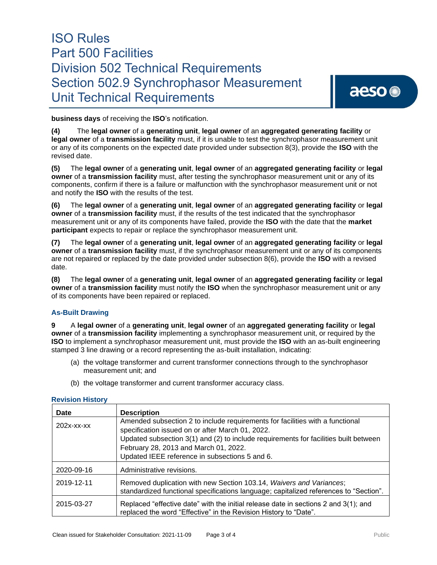**business days** of receiving the **ISO**'s notification.

**(4)** The **legal owner** of a **generating unit**, **legal owner** of an **aggregated generating facility** or **legal owner** of a **transmission facility** must, if it is unable to test the synchrophasor measurement unit or any of its components on the expected date provided under subsection 8(3), provide the **ISO** with the revised date.

**(5)** The **legal owner** of a **generating unit**, **legal owner** of an **aggregated generating facility** or **legal owner** of a **transmission facility** must, after testing the synchrophasor measurement unit or any of its components, confirm if there is a failure or malfunction with the synchrophasor measurement unit or not and notify the **ISO** with the results of the test.

**(6)** The **legal owner** of a **generating unit**, **legal owner** of an **aggregated generating facility** or **legal owner** of a **transmission facility** must, if the results of the test indicated that the synchrophasor measurement unit or any of its components have failed, provide the **ISO** with the date that the **market participant** expects to repair or replace the synchrophasor measurement unit.

**(7)** The **legal owner** of a **generating unit**, **legal owner** of an **aggregated generating facility** or **legal owner** of a **transmission facility** must, if the synchrophasor measurement unit or any of its components are not repaired or replaced by the date provided under subsection 8(6), provide the **ISO** with a revised date.

**(8)** The **legal owner** of a **generating unit**, **legal owner** of an **aggregated generating facility** or **legal owner** of a **transmission facility** must notify the **ISO** when the synchrophasor measurement unit or any of its components have been repaired or replaced.

## **As-Built Drawing**

**9** A **legal owner** of a **generating unit**, **legal owner** of an **aggregated generating facility** or **legal owner** of a **transmission facility** implementing a synchrophasor measurement unit, or required by the **ISO** to implement a synchrophasor measurement unit, must provide the **ISO** with an as-built engineering stamped 3 line drawing or a record representing the as-built installation, indicating:

- (a) the voltage transformer and current transformer connections through to the synchrophasor measurement unit; and
- (b) the voltage transformer and current transformer accuracy class.

| Date          | <b>Description</b>                                                                                                                                                                                                                                                                                                   |
|---------------|----------------------------------------------------------------------------------------------------------------------------------------------------------------------------------------------------------------------------------------------------------------------------------------------------------------------|
| $202x$ -xx-xx | Amended subsection 2 to include requirements for facilities with a functional<br>specification issued on or after March 01, 2022.<br>Updated subsection 3(1) and (2) to include requirements for facilities built between<br>February 28, 2013 and March 01, 2022.<br>Updated IEEE reference in subsections 5 and 6. |
| 2020-09-16    | Administrative revisions.                                                                                                                                                                                                                                                                                            |
| 2019-12-11    | Removed duplication with new Section 103.14, Waivers and Variances;<br>standardized functional specifications language; capitalized references to "Section".                                                                                                                                                         |
| 2015-03-27    | Replaced "effective date" with the initial release date in sections 2 and 3(1); and<br>replaced the word "Effective" in the Revision History to "Date".                                                                                                                                                              |

### **Revision History**